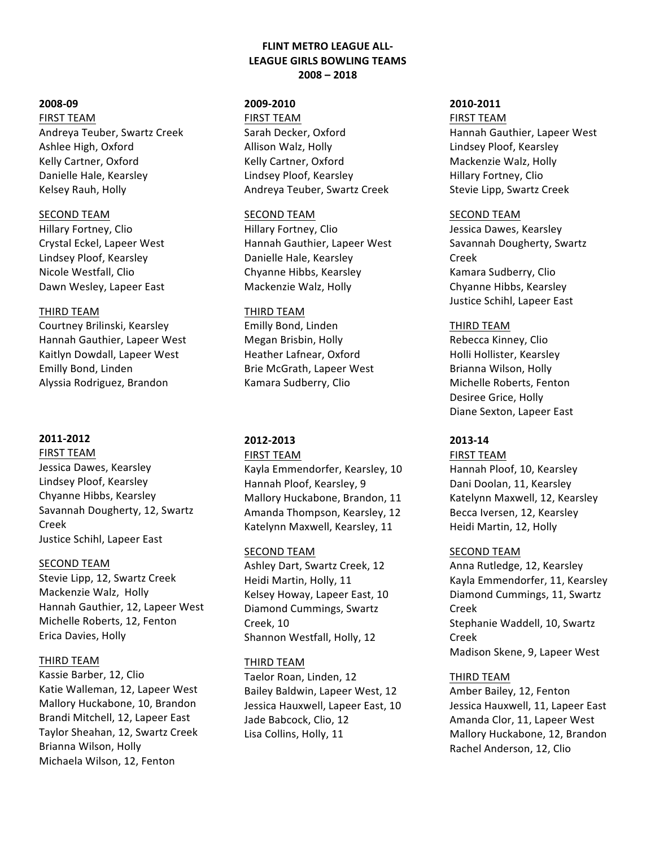# **FLINT METRO LEAGUE ALL-LEAGUE GIRLS BOWLING TEAMS 2008 – 2018**

#### **2008-09**

**FIRST TEAM** 

Andreya Teuber, Swartz Creek Ashlee High, Oxford Kelly Cartner, Oxford Danielle Hale, Kearsley Kelsey Rauh, Holly

### **SECOND TEAM**

Hillary Fortney, Clio Crystal Eckel, Lapeer West Lindsey Ploof, Kearsley Nicole Westfall, Clio Dawn Wesley, Lapeer East

### **THIRD TEAM**

Courtney Brilinski, Kearsley Hannah Gauthier, Lapeer West Kaitlyn Dowdall, Lapeer West Emilly Bond, Linden Alyssia Rodriguez, Brandon

# **2011-2012**

### **FIRST TEAM**

Jessica Dawes, Kearsley Lindsey Ploof, Kearsley Chyanne Hibbs, Kearsley Savannah Dougherty, 12, Swartz Creek Justice Schihl, Lapeer East

### SECOND TEAM

Stevie Lipp, 12, Swartz Creek Mackenzie Walz, Holly Hannah Gauthier, 12, Lapeer West Michelle Roberts, 12, Fenton Erica Davies, Holly

### THIRD TEAM

Kassie Barber, 12, Clio Katie Walleman, 12, Lapeer West Mallory Huckabone, 10, Brandon Brandi Mitchell, 12, Lapeer East Taylor Sheahan, 12, Swartz Creek Brianna Wilson, Holly Michaela Wilson, 12, Fenton

# **2009-2010**

**FIRST TEAM** Sarah Decker, Oxford Allison Walz, Holly Kelly Cartner, Oxford Lindsey Ploof, Kearsley Andreya Teuber, Swartz Creek

### **SECOND TEAM**

Hillary Fortney, Clio Hannah Gauthier, Lapeer West Danielle Hale, Kearsley Chyanne Hibbs, Kearsley Mackenzie Walz, Holly

## **THIRD TEAM**

Emilly Bond, Linden Megan Brisbin, Holly Heather Lafnear, Oxford Brie McGrath, Lapeer West Kamara Sudberry, Clio

# **2012-2013**

### **FIRST TEAM**

Kayla Emmendorfer, Kearsley, 10 Hannah Ploof, Kearsley, 9 Mallory Huckabone, Brandon, 11 Amanda Thompson, Kearsley, 12 Katelynn Maxwell, Kearsley, 11

### SECOND TEAM

Ashley Dart, Swartz Creek, 12 Heidi Martin, Holly, 11 Kelsey Howay, Lapeer East, 10 Diamond Cummings, Swartz Creek, 10 Shannon Westfall, Holly, 12

### THIRD TEAM

Taelor Roan, Linden, 12 Bailey Baldwin, Lapeer West, 12 Jessica Hauxwell, Lapeer East, 10 Jade Babcock, Clio, 12 Lisa Collins, Holly, 11

## **2010-2011**

# **FIRST TEAM** Hannah Gauthier, Lapeer West

Lindsey Ploof, Kearsley Mackenzie Walz, Holly Hillary Fortney, Clio Stevie Lipp, Swartz Creek

### **SECOND TEAM**

Jessica Dawes, Kearsley Savannah Dougherty, Swartz Creek Kamara Sudberry, Clio Chyanne Hibbs, Kearsley Justice Schihl, Lapeer East

### **THIRD TEAM**

Rebecca Kinney, Clio Holli Hollister, Kearsley Brianna Wilson, Holly Michelle Roberts, Fenton Desiree Grice, Holly Diane Sexton, Lapeer East

# **2013-14**

# **FIRST TEAM** Hannah Ploof, 10, Kearsley Dani Doolan, 11, Kearsley Katelynn Maxwell, 12, Kearsley Becca Iversen, 12, Kearsley Heidi Martin, 12, Holly

### SECOND TEAM

Anna Rutledge, 12, Kearsley Kayla Emmendorfer, 11, Kearsley Diamond Cummings, 11, Swartz Creek Stephanie Waddell, 10, Swartz Creek Madison Skene, 9, Lapeer West

# THIRD TEAM

Amber Bailey, 12, Fenton Jessica Hauxwell, 11, Lapeer East Amanda Clor, 11, Lapeer West Mallory Huckabone, 12, Brandon Rachel Anderson, 12, Clio